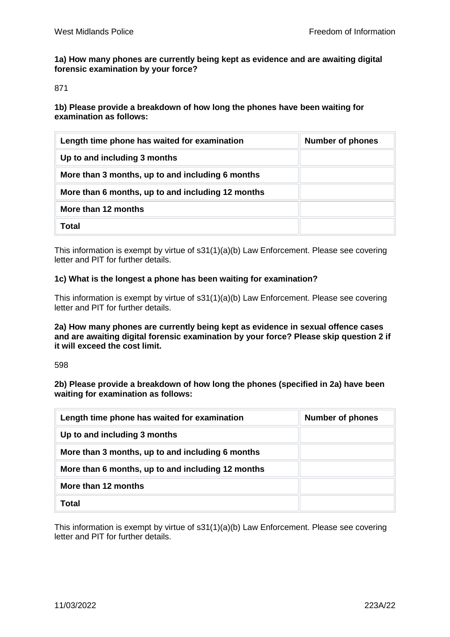**1a) How many phones are currently being kept as evidence and are awaiting digital forensic examination by your force?**

871

**1b) Please provide a breakdown of how long the phones have been waiting for examination as follows:**

| Length time phone has waited for examination      | <b>Number of phones</b> |
|---------------------------------------------------|-------------------------|
| Up to and including 3 months                      |                         |
| More than 3 months, up to and including 6 months  |                         |
| More than 6 months, up to and including 12 months |                         |
| More than 12 months                               |                         |
| Total                                             |                         |

This information is exempt by virtue of s31(1)(a)(b) Law Enforcement. Please see covering letter and PIT for further details.

## **1c) What is the longest a phone has been waiting for examination?**

This information is exempt by virtue of s31(1)(a)(b) Law Enforcement. Please see covering letter and PIT for further details.

**2a) How many phones are currently being kept as evidence in sexual offence cases and are awaiting digital forensic examination by your force? Please skip question 2 if it will exceed the cost limit.**

598

**2b) Please provide a breakdown of how long the phones (specified in 2a) have been waiting for examination as follows:**

| Length time phone has waited for examination      | <b>Number of phones</b> |
|---------------------------------------------------|-------------------------|
| Up to and including 3 months                      |                         |
| More than 3 months, up to and including 6 months  |                         |
| More than 6 months, up to and including 12 months |                         |
| More than 12 months                               |                         |
| Total                                             |                         |

This information is exempt by virtue of s31(1)(a)(b) Law Enforcement. Please see covering letter and PIT for further details.